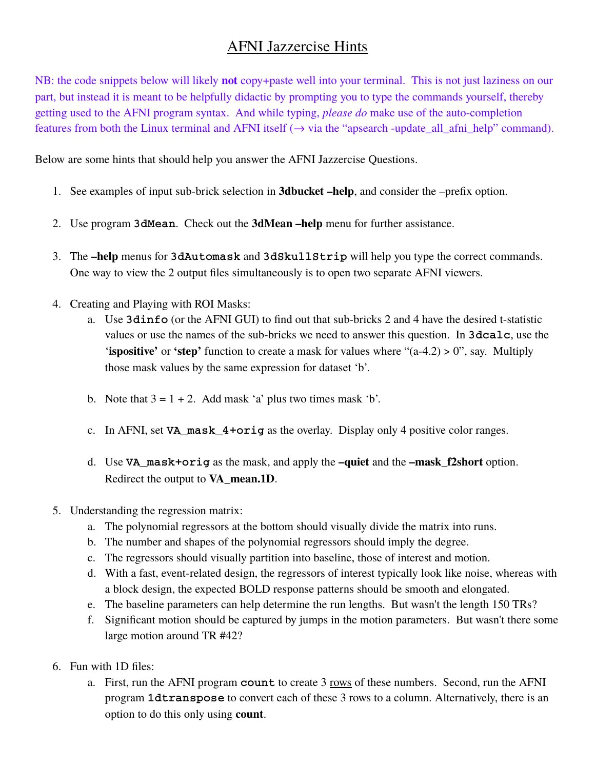## AFNI Jazzercise Hints

NB: the code snippets below will likely **not** copy+paste well into your terminal. This is not just laziness on our part, but instead it is meant to be helpfully didactic by prompting you to type the commands yourself, thereby getting used to the AFNI program syntax. And while typing, *please do* make use of the auto-completion features from both the Linux terminal and AFNI itself  $(\rightarrow$  via the "apsearch -update\_all\_afni\_help" command).

Below are some hints that should help you answer the AFNI Jazzercise Questions.

- 1. See examples of input sub-brick selection in **3dbucket –help**, and consider the –prefix option.
- 2. Use program **3dMean**. Check out the **3dMean –help** menu for further assistance.
- 3. The **–help** menus for **3dAutomask** and **3dSkullStrip** will help you type the correct commands. One way to view the 2 output files simultaneously is to open two separate AFNI viewers.
- 4. Creating and Playing with ROI Masks:
	- a. Use **3dinfo** (or the AFNI GUI) to find out that sub-bricks 2 and 4 have the desired t-statistic values or use the names of the sub-bricks we need to answer this question. In **3dcalc**, use the **'ispositive'** or **'step'** function to create a mask for values where "(a-4.2) > 0", say. Multiply those mask values by the same expression for dataset 'b'.
	- b. Note that  $3 = 1 + 2$ . Add mask 'a' plus two times mask 'b'.
	- c. In AFNI, set **VA\_mask\_4+orig** as the overlay. Display only 4 positive color ranges.
	- d. Use **VA\_mask+orig** as the mask, and apply the **–quiet** and the **–mask\_f2short** option. Redirect the output to **VA\_mean.1D**.
- 5. Understanding the regression matrix:
	- a. The polynomial regressors at the bottom should visually divide the matrix into runs.
	- b. The number and shapes of the polynomial regressors should imply the degree.
	- c. The regressors should visually partition into baseline, those of interest and motion.
	- d. With a fast, event-related design, the regressors of interest typically look like noise, whereas with a block design, the expected BOLD response patterns should be smooth and elongated.
	- e. The baseline parameters can help determine the run lengths. But wasn't the length 150 TRs?
	- f. Significant motion should be captured by jumps in the motion parameters. But wasn't there some large motion around TR #42?
- 6. Fun with 1D files:
	- a. First, run the AFNI program **count** to create 3 rows of these numbers. Second, run the AFNI program **1dtranspose** to convert each of these 3 rows to a column. Alternatively, there is an option to do this only using **count**.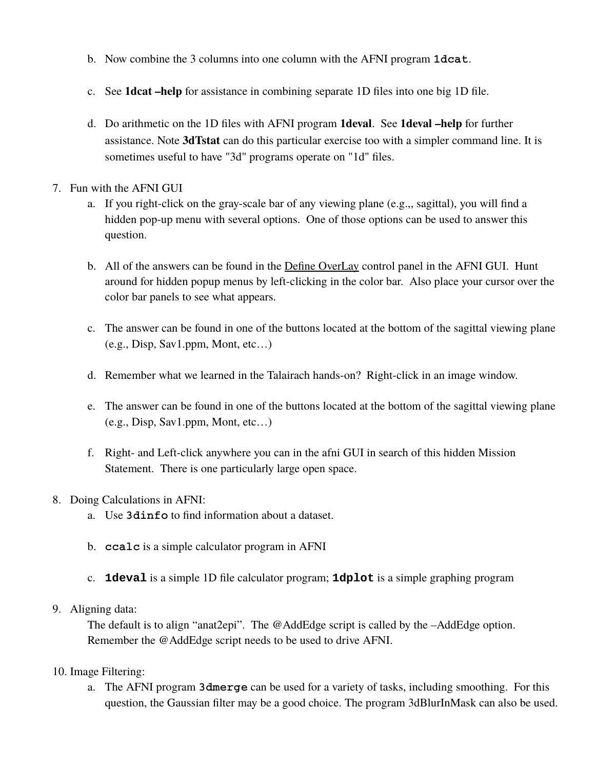- b. Now combine the 3 columns into one column with the AFNI program **1dcat**.
- c. See **1dcat –help** for assistance in combining separate 1D files into one big 1D file.
- d. Do arithmetic on the 1D files with AFNI program **1deval**. See **1deval –help** for further assistance. Note **3dTstat** can do this particular exercise too with a simpler command line. It is sometimes useful to have "3d" programs operate on "1d" files.

## 7. Fun with the AFNI GUI

- a. If you right-click on the gray-scale bar of any viewing plane (e.g.,, sagittal), you will find a hidden pop-up menu with several options. One of those options can be used to answer this question.
- b. All of the answers can be found in the Define OverLay control panel in the AFNI GUI. Hunt around for hidden popup menus by left-clicking in the color bar. Also place your cursor over the color bar panels to see what appears.
- c. The answer can be found in one of the buttons located at the bottom of the sagittal viewing plane (e.g., Disp, Sav1.ppm, Mont, etc…)
- d. Remember what we learned in the Talairach hands-on? Right-click in an image window.
- e. The answer can be found in one of the buttons located at the bottom of the sagittal viewing plane (e.g., Disp, Sav1.ppm, Mont, etc…)
- f. Right- and Left-click anywhere you can in the afni GUI in search of this hidden Mission Statement. There is one particularly large open space.
- 8. Doing Calculations in AFNI:
	- a. Use **3dinfo** to find information about a dataset.
	- b. **ccalc** is a simple calculator program in AFNI
	- c. **1deval** is a simple 1D file calculator program; **1dplot** is a simple graphing program
- 9. Aligning data:

The default is to align "anat2epi". The @AddEdge script is called by the  $-Ad$ de age option. Remember the @AddEdge script needs to be used to drive AFNI.

- 10. Image Filtering:
	- a. The AFNI program **3dmerge** can be used for a variety of tasks, including smoothing. For this question, the Gaussian filter may be a good choice. The program 3dBlurInMask can also be used.